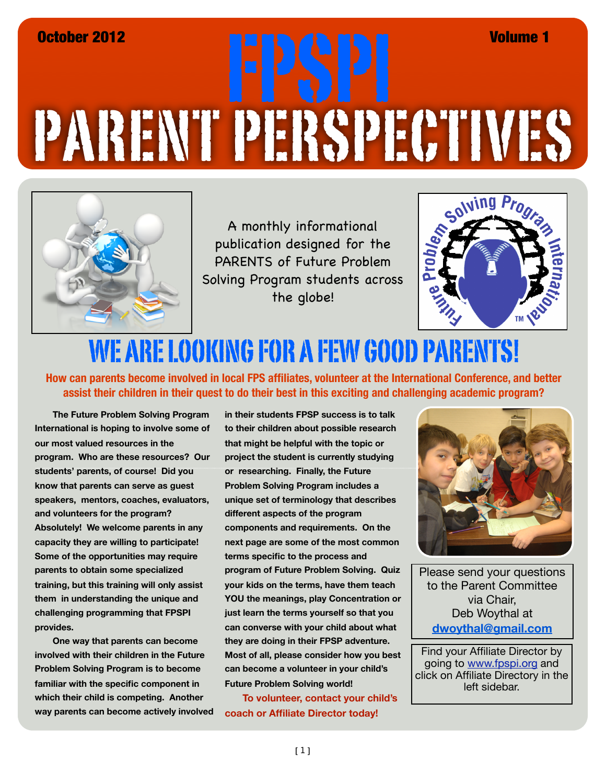## PARENT PERSPECTIVES October 2012 FPSPI Volume 1



A monthly informational publication designed for the PARENTS of Future Problem Solving Program students across the globe!



## WE ARE LOOKING FOR A FEW GOOD PARENTS!

**How can parents become involved in local FPS affiliates, volunteer at the International Conference, and better assist their children in their quest to do their best in this exciting and challenging academic program?**

**The Future Problem Solving Program International is hoping to involve some of our most valued resources in the program. Who are these resources? Our students' parents, of course! Did you know that parents can serve as guest speakers, mentors, coaches, evaluators, and volunteers for the program? Absolutely! We welcome parents in any capacity they are willing to participate! Some of the opportunities may require parents to obtain some specialized training, but this training will only assist them in understanding the unique and challenging programming that FPSPI provides.** 

**One way that parents can become involved with their children in the Future Problem Solving Program is to become familiar with the specific component in which their child is competing. Another way parents can become actively involved**  **in their students FPSP success is to talk to their children about possible research that might be helpful with the topic or project the student is currently studying or researching. Finally, the Future Problem Solving Program includes a unique set of terminology that describes different aspects of the program components and requirements. On the next page are some of the most common terms specific to the process and program of Future Problem Solving. Quiz your kids on the terms, have them teach YOU the meanings, play Concentration or just learn the terms yourself so that you can converse with your child about what they are doing in their FPSP adventure. Most of all, please consider how you best can become a volunteer in your child's Future Problem Solving world!**

**To volunteer, contact your child's coach or Affiliate Director today!**



Please send your questions to the Parent Committee via Chair, Deb Woythal at **dwoythal@gmail.com**

Find your Affiliate Director by going to [www.fpspi.org](http://www.fpspi.org) and click on Affiliate Directory in the left sidebar.